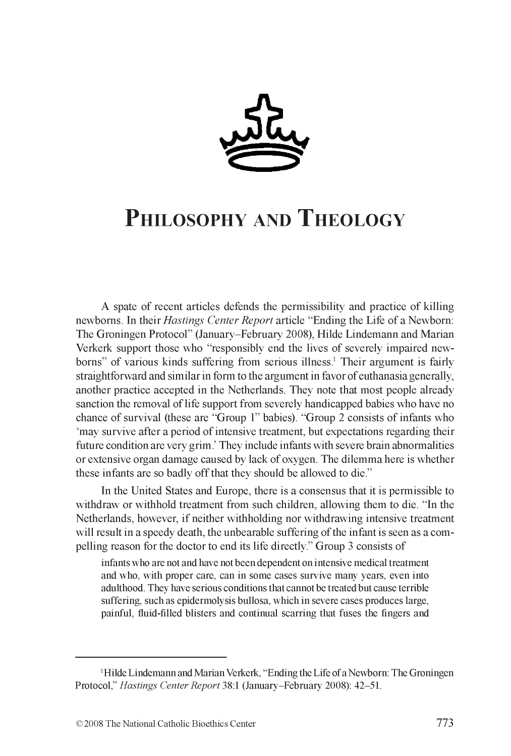

## **Philosophy and T heology**

A spate of recent articles defends the permissibility and practice of killing newborns. In their *Hastings Center Report* article "Ending the Life of a Newborn: The Groningen Protocol" (January-February 2008), Hilde Lindemann and Marian Verkerk support those who "responsibly end the lives of severely impaired newborns" of various kinds suffering from serious illness.<sup>1</sup> Their argument is fairly straightforward and similar in form to the argument in favor of euthanasia generally, another practice accepted in the Netherlands. They note that most people already sanction the removal of life support from severely handicapped babies who have no chance of survival (these are "Group 1" babies). "Group 2 consists of infants who 'may survive after a period of intensive treatment, but expectations regarding their future condition are very grim.' They include infants with severe brain abnormalities or extensive organ damage caused by lack of oxygen. The dilemma here is whether these infants are so badly off that they should be allowed to die."

In the United States and Europe, there is a consensus that it is permissible to withdraw or withhold treatment from such children, allowing them to die. "In the Netherlands, however, if neither withholding nor withdrawing intensive treatment will result in a speedy death, the unbearable suffering of the infant is seen as a compelling reason for the doctor to end its life directly." Group 3 consists of

infants who are not and have not been dependent on intensive medical treatment and who, with proper care, can in some cases survive many years, even into adulthood. They have serious conditions that cannot be treated but cause terrible suffering, such as epidermolysis bullosa, which in severe cases produces large, painful, fluid-filled blisters and continual scarring that fuses the fingers and

<sup>1</sup> Hilde Lindemann and Marian Verkerk, "Ending the Life of a Newborn: The Groningen Protocol," *Hastings Center Report* 38:1 (January-February 2008): 42-51.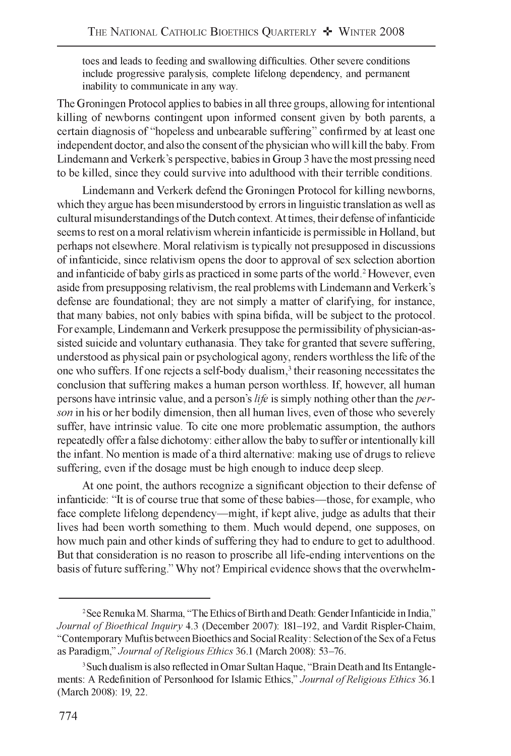toes and leads to feeding and swallowing difficulties. Other severe conditions include progressive paralysis, complete lifelong dependency, and permanent inability to communicate in any way.

The Groningen Protocol applies to babies in all three groups, allowing for intentional killing of newborns contingent upon informed consent given by both parents, a certain diagnosis of "hopeless and unbearable suffering" confirmed by at least one independent doctor, and also the consent of the physician who will kill the baby. From Lindemann and Verkerk's perspective, babies in Group 3 have the most pressing need to be killed, since they could survive into adulthood with their terrible conditions.

Lindemann and Verkerk defend the Groningen Protocol for killing newborns, which they argue has been misunderstood by errors in linguistic translation as well as cultural misunderstandings of the Dutch context. At times, their defense of infanticide seems to rest on a moral relativism wherein infanticide is permissible in Holland, but perhaps not elsewhere. Moral relativism is typically not presupposed in discussions of infanticide, since relativism opens the door to approval of sex selection abortion and infanticide of baby girls as practiced in some parts of the world.2 However, even aside from presupposing relativism, the real problems with Lindemann and Verkerk's defense are foundational; they are not simply a matter of clarifying, for instance, that many babies, not only babies with spina bifida, will be subject to the protocol. For example, Lindemann and Verkerk presuppose the permissibility of physician-assisted suicide and voluntary euthanasia. They take for granted that severe suffering, understood as physical pain or psychological agony, renders worthless the life of the one who suffers. If one rejects a self-body dualism,<sup>3</sup> their reasoning necessitates the conclusion that suffering makes a human person worthless. If, however, all human persons have intrinsic value, and a person's *life* is simply nothing other than the *person* in his or her bodily dimension, then all human lives, even of those who severely suffer, have intrinsic value. To cite one more problematic assumption, the authors repeatedly offer a false dichotomy: either allow the baby to suffer or intentionally kill the infant. No mention is made of a third alternative: making use of drugs to relieve suffering, even if the dosage must be high enough to induce deep sleep.

At one point, the authors recognize a significant objection to their defense of infanticide: "It is of course true that some of these babies—those, for example, who face complete lifelong dependency—might, if kept alive, judge as adults that their lives had been worth something to them. Much would depend, one supposes, on how much pain and other kinds of suffering they had to endure to get to adulthood. But that consideration is no reason to proscribe all life-ending interventions on the basis of future suffering." Why not? Empirical evidence shows that the overwhelm-

<sup>&</sup>lt;sup>2</sup> See Renuka M. Sharma, "The Ethics of Birth and Death: Gender Infanticide in India," *Journal of Bioethical Inquiry* 4.3 (December 2007): 181–192, and Vardit Rispler-Chaim, "Contemporary Muftis between Bioethics and Social Reality: Selection of the Sex of a Fetus as Paradigm," *Journal of Religious Ethics* 36.1 (March 2008): 53-76.

<sup>&</sup>lt;sup>3</sup> Such dualism is also reflected in Omar Sultan Haque, "Brain Death and Its Entanglements: A Redefinition of Personhood for Islamic Ethics," *Journal of Religious Ethics* 36.1 (March 2008): 19, 22.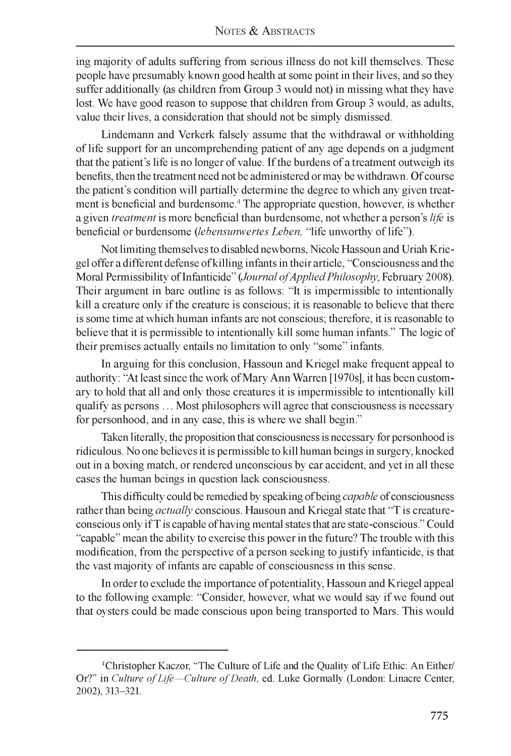ing majority of adults suffering from serious illness do not kill themselves. These people have presumably known good health at some point in their lives, and so they suffer additionally (as children from Group 3 would not) in missing what they have lost. We have good reason to suppose that children from Group 3 would, as adults, value their lives, a consideration that should not be simply dismissed.

Lindemann and Verkerk falsely assume that the withdrawal or withholding of life support for an uncomprehending patient of any age depends on a judgment that the patient's life is no longer of value. If the burdens of a treatment outweigh its benefits, then the treatment need not be administered or may be withdrawn. Of course the patient's condition will partially determine the degree to which any given treatment is beneficial and burdensome.4 The appropriate question, however, is whether a given *treatment* is more beneficial than burdensome, not whether a person's *life* is beneficial or burdensome *(lebensunwertes Leben,* "life unworthy of life").

Not limiting themselves to disabled newborns, Nicole Hassoun and Uriah Kriegel offer a different defense of killing infants in their article, "Consciousness and the Moral Permissibility of Infanticide" (Journal of Applied Philosophy, February 2008). Their argument in bare outline is as follows: "It is impermissible to intentionally kill a creature only if the creature is conscious; it is reasonable to believe that there is some time at which human infants are not conscious; therefore, it is reasonable to believe that it is permissible to intentionally kill some human infants." The logic of their premises actually entails no limitation to only "some" infants.

In arguing for this conclusion, Hassoun and Kriegel make frequent appeal to authority: "At least since the work of Mary Ann Warren [1970s], it has been customary to hold that all and only those creatures it is impermissible to intentionally kill qualify as persons . . . Most philosophers will agree that consciousness is necessary for personhood, and in any case, this is where we shall begin."

Taken literally, the proposition that consciousness is necessary for personhood is ridiculous. No one believes it is permissible to kill human beings in surgery, knocked out in a boxing match, or rendered unconscious by car accident, and yet in all these cases the human beings in question lack consciousness.

This difficulty could be remedied by speaking of being *capable* of consciousness rather than being *actually* conscious. Hausoun and Kriegal state that "T is creatureconscious only if T is capable of having mental states that are state-conscious." Could "capable" mean the ability to exercise this power in the future? The trouble with this modification, from the perspective of a person seeking to justify infanticide, is that the vast majority of infants are capable of consciousness in this sense.

In order to exclude the importance of potentiality, Hassoun and Kriegel appeal to the following example: "Consider, however, what we would say if we found out that oysters could be made conscious upon being transported to Mars. This would

<sup>4</sup> Christopher Kaczor, "The Culture of Life and the Quality of Life Ethic: An Either/ Or?" in *Culture of Life—Culture of Death*, ed. Luke Gormally (London: Linacre Center, 2002), 313-321.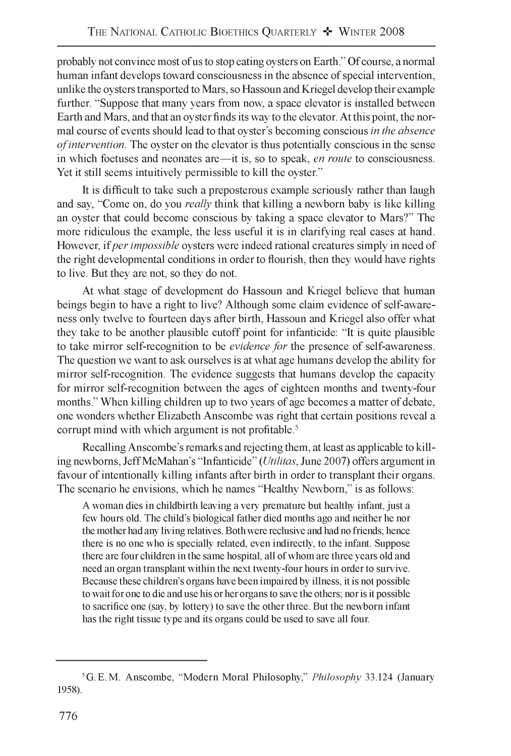probably not convince most of us to stop eating oysters on Earth." Of course, a normal human infant develops toward consciousness in the absence of special intervention, unlike the oysters transported to Mars, so Hassoun and Kriegel develop their example further. "Suppose that many years from now, a space elevator is installed between Earth and Mars, and that an oyster finds its way to the elevator. At this point, the normal course of events should lead to that oyster's becoming conscious *in the absence of intervention*. The oyster on the elevator is thus potentially conscious in the sense in which foetuses and neonates are—it is, so to speak, *en route* to consciousness. Yet it still seems intuitively permissible to kill the oyster."

It is difficult to take such a preposterous example seriously rather than laugh and say, "Come on, do you *really* think that killing a newborn baby is like killing an oyster that could become conscious by taking a space elevator to Mars?" The more ridiculous the example, the less useful it is in clarifying real cases at hand. However, if*per impossible* oysters were indeed rational creatures simply in need of the right developmental conditions in order to flourish, then they would have rights to live. But they are not, so they do not.

At what stage of development do Hassoun and Kriegel believe that human beings begin to have a right to live? Although some claim evidence of self-awareness only twelve to fourteen days after birth, Hassoun and Kriegel also offer what they take to be another plausible cutoff point for infanticide: "It is quite plausible to take mirror self-recognition to be *evidence for* the presence of self-awareness. The question we want to ask ourselves is at what age humans develop the ability for mirror self-recognition. The evidence suggests that humans develop the capacity for mirror self-recognition between the ages of eighteen months and twenty-four months." When killing children up to two years of age becomes a matter of debate, one wonders whether Elizabeth Anscombe was right that certain positions reveal a corrupt mind with which argument is not profitable.<sup>5</sup>

Recalling Anscombe's remarks and rejecting them, at least as applicable to killing newborns, Jeff McMahan's "Infanticide" *(Utilitas,* June 2007) offers argument in favour of intentionally killing infants after birth in order to transplant their organs. The scenario he envisions, which he names "Healthy Newborn," is as follows:

A woman dies in childbirth leaving a very premature but healthy infant, just a few hours old. The child's biological father died months ago and neither he nor the mother had any living relatives. Both were reclusive and had no friends; hence there is no one who is specially related, even indirectly, to the infant. Suppose there are four children in the same hospital, all of whom are three years old and need an organ transplant within the next twenty-four hours in order to survive. Because these children's organs have been impaired by illness, it is not possible to wait for one to die and use his or her organs to save the others; nor is it possible to sacrifice one (say, by lottery) to save the other three. But the newborn infant has the right tissue type and its organs could be used to save all four.

<sup>5</sup> G. E. M. Anscombe, "Modern Moral Philosophy," *Philosophy* 33.124 (January 1958).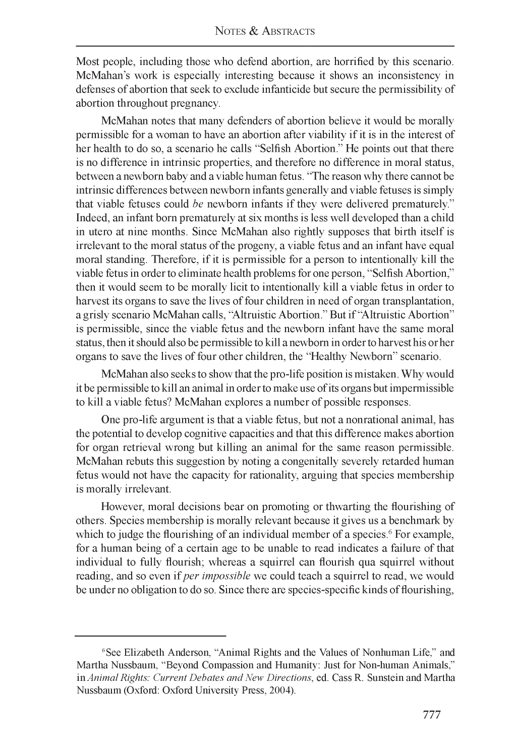Most people, including those who defend abortion, are horrified by this scenario. McMahan's work is especially interesting because it shows an inconsistency in defenses of abortion that seek to exclude infanticide but secure the permissibility of abortion throughout pregnancy.

McMahan notes that many defenders of abortion believe it would be morally permissible for a woman to have an abortion after viability if it is in the interest of her health to do so, a scenario he calls "Selfish Abortion." He points out that there is no difference in intrinsic properties, and therefore no difference in moral status, between a newborn baby and a viable human fetus. "The reason why there cannot be intrinsic differences between newborn infants generally and viable fetuses is simply that viable fetuses could *be* newborn infants if they were delivered prematurely." Indeed, an infant born prematurely at six months is less well developed than a child in utero at nine months. Since McMahan also rightly supposes that birth itself is irrelevant to the moral status of the progeny, a viable fetus and an infant have equal moral standing. Therefore, if it is permissible for a person to intentionally kill the viable fetus in order to eliminate health problems for one person, "Selfish Abortion," then it would seem to be morally licit to intentionally kill a viable fetus in order to harvest its organs to save the lives of four children in need of organ transplantation, a grisly scenario McMahan calls, "Altruistic Abortion." But if "Altruistic Abortion" is permissible, since the viable fetus and the newborn infant have the same moral status, then it should also be permissible to kill a newborn in order to harvest his or her organs to save the lives of four other children, the "Healthy Newborn" scenario.

McMahan also seeks to show that the pro-life position is mistaken. Why would it be permissible to kill an animal in order to make use of its organs but impermissible to kill a viable fetus? McMahan explores a number of possible responses.

One pro-life argument is that a viable fetus, but not a nonrational animal, has the potential to develop cognitive capacities and that this difference makes abortion for organ retrieval wrong but killing an animal for the same reason permissible. McMahan rebuts this suggestion by noting a congenitally severely retarded human fetus would not have the capacity for rationality, arguing that species membership is morally irrelevant.

However, moral decisions bear on promoting or thwarting the flourishing of others. Species membership is morally relevant because it gives us a benchmark by which to judge the flourishing of an individual member of a species.<sup>6</sup> For example, for a human being of a certain age to be unable to read indicates a failure of that individual to fully flourish; whereas a squirrel can flourish qua squirrel without reading, and so even if *per impossible* we could teach a squirrel to read, we would be under no obligation to do so. Since there are species-specific kinds of flourishing,

<sup>6</sup> See Elizabeth Anderson, "Animal Rights and the Values of Nonhuman Life," and Martha Nussbaum, "Beyond Compassion and Humanity: Just for Non-human Animals," in *Animal Rights: Current Debates and New Directions,* ed. Cass R. Sunstein and Martha Nussbaum (Oxford: Oxford University Press, 2004).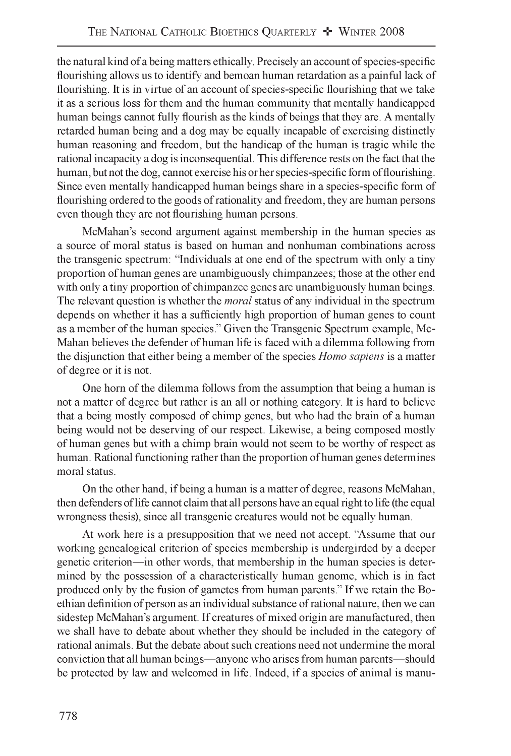the natural kind of a being matters ethically. Precisely an account of species-specific flourishing allows us to identify and bemoan human retardation as a painful lack of flourishing. It is in virtue of an account of species-specific flourishing that we take it as a serious loss for them and the human community that mentally handicapped human beings cannot fully flourish as the kinds of beings that they are. A mentally retarded human being and a dog may be equally incapable of exercising distinctly human reasoning and freedom, but the handicap of the human is tragic while the rational incapacity a dog is inconsequential. This difference rests on the fact that the human, but not the dog, cannot exercise his or her species-specific form of flourishing. Since even mentally handicapped human beings share in a species-specific form of flourishing ordered to the goods of rationality and freedom, they are human persons even though they are not flourishing human persons.

McMahan's second argument against membership in the human species as a source of moral status is based on human and nonhuman combinations across the transgenic spectrum: "Individuals at one end of the spectrum with only a tiny proportion of human genes are unambiguously chimpanzees; those at the other end with only a tiny proportion of chimpanzee genes are unambiguously human beings. The relevant question is whether the *moral* status of any individual in the spectrum depends on whether it has a sufficiently high proportion of human genes to count as a member of the human species." Given the Transgenic Spectrum example, Mc-Mahan believes the defender of human life is faced with a dilemma following from the disjunction that either being a member of the species *Homo sapiens* is a matter of degree or it is not.

One horn of the dilemma follows from the assumption that being a human is not a matter of degree but rather is an all or nothing category. It is hard to believe that a being mostly composed of chimp genes, but who had the brain of a human being would not be deserving of our respect. Likewise, a being composed mostly of human genes but with a chimp brain would not seem to be worthy of respect as human. Rational functioning rather than the proportion of human genes determines moral status.

On the other hand, if being a human is a matter of degree, reasons McMahan, then defenders of life cannot claim that all persons have an equal right to life (the equal wrongness thesis), since all transgenic creatures would not be equally human.

At work here is a presupposition that we need not accept. "Assume that our working genealogical criterion of species membership is undergirded by a deeper genetic criterion—in other words, that membership in the human species is determined by the possession of a characteristically human genome, which is in fact produced only by the fusion of gametes from human parents." If we retain the Boethian definition of person as an individual substance of rational nature, then we can sidestep McMahan's argument. If creatures of mixed origin are manufactured, then we shall have to debate about whether they should be included in the category of rational animals. But the debate about such creations need not undermine the moral conviction that all human beings—anyone who arises from human parents—should be protected by law and welcomed in life. Indeed, if a species of animal is manu-